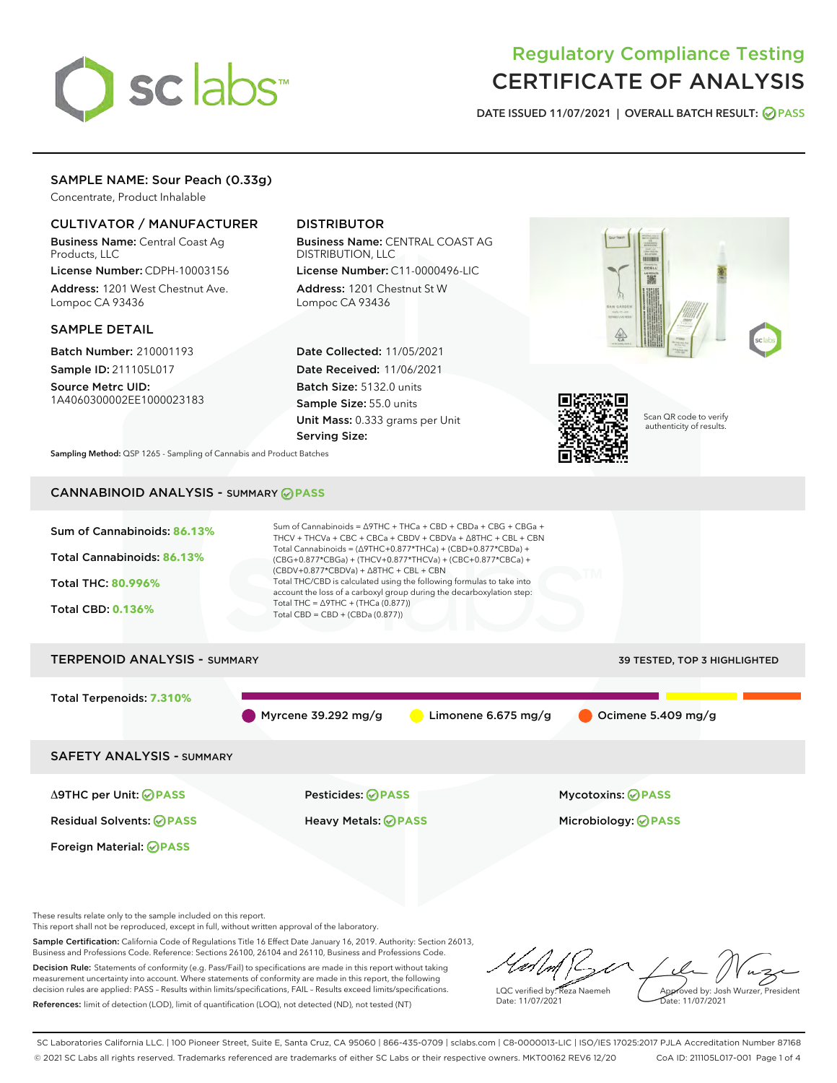# sclabs<sup>\*</sup>

# Regulatory Compliance Testing CERTIFICATE OF ANALYSIS

DATE ISSUED 11/07/2021 | OVERALL BATCH RESULT: @ PASS

# SAMPLE NAME: Sour Peach (0.33g)

Concentrate, Product Inhalable

# CULTIVATOR / MANUFACTURER

Business Name: Central Coast Ag Products, LLC

License Number: CDPH-10003156 Address: 1201 West Chestnut Ave. Lompoc CA 93436

### SAMPLE DETAIL

Batch Number: 210001193 Sample ID: 211105L017

Source Metrc UID: 1A4060300002EE1000023183

# DISTRIBUTOR

Business Name: CENTRAL COAST AG DISTRIBUTION, LLC

License Number: C11-0000496-LIC Address: 1201 Chestnut St W Lompoc CA 93436

Date Collected: 11/05/2021 Date Received: 11/06/2021 Batch Size: 5132.0 units Sample Size: 55.0 units Unit Mass: 0.333 grams per Unit Serving Size:





Scan QR code to verify authenticity of results.

Sampling Method: QSP 1265 - Sampling of Cannabis and Product Batches

# CANNABINOID ANALYSIS - SUMMARY **PASS**



Δ9THC per Unit: **PASS** Pesticides: **PASS** Mycotoxins: **PASS**

Foreign Material: **PASS**

Residual Solvents: **PASS** Heavy Metals: **PASS** Microbiology: **PASS**

These results relate only to the sample included on this report.

This report shall not be reproduced, except in full, without written approval of the laboratory.

Sample Certification: California Code of Regulations Title 16 Effect Date January 16, 2019. Authority: Section 26013, Business and Professions Code. Reference: Sections 26100, 26104 and 26110, Business and Professions Code. Decision Rule: Statements of conformity (e.g. Pass/Fail) to specifications are made in this report without taking

measurement uncertainty into account. Where statements of conformity are made in this report, the following decision rules are applied: PASS – Results within limits/specifications, FAIL – Results exceed limits/specifications. References: limit of detection (LOD), limit of quantification (LOQ), not detected (ND), not tested (NT)

LQC verified by: Reza Naemeh Date: 11/07/2021 Approved by: Josh Wurzer, President Date: 11/07/2021

SC Laboratories California LLC. | 100 Pioneer Street, Suite E, Santa Cruz, CA 95060 | 866-435-0709 | sclabs.com | C8-0000013-LIC | ISO/IES 17025:2017 PJLA Accreditation Number 87168 © 2021 SC Labs all rights reserved. Trademarks referenced are trademarks of either SC Labs or their respective owners. MKT00162 REV6 12/20 CoA ID: 211105L017-001 Page 1 of 4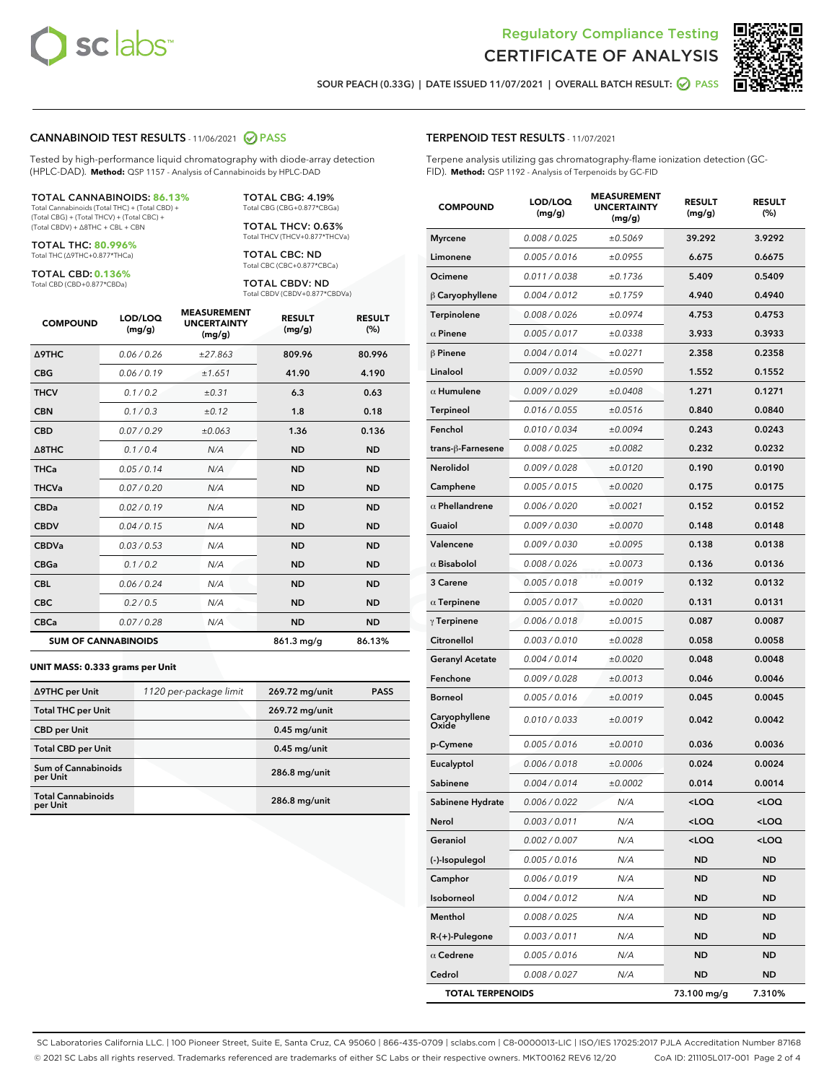



SOUR PEACH (0.33G) | DATE ISSUED 11/07/2021 | OVERALL BATCH RESULT: **○** PASS

#### CANNABINOID TEST RESULTS - 11/06/2021 2 PASS

Tested by high-performance liquid chromatography with diode-array detection (HPLC-DAD). **Method:** QSP 1157 - Analysis of Cannabinoids by HPLC-DAD

#### TOTAL CANNABINOIDS: **86.13%**

Total Cannabinoids (Total THC) + (Total CBD) + (Total CBG) + (Total THCV) + (Total CBC) + (Total CBDV) + ∆8THC + CBL + CBN

TOTAL THC: **80.996%** Total THC (∆9THC+0.877\*THCa)

TOTAL CBD: **0.136%**

Total CBD (CBD+0.877\*CBDa)

TOTAL CBG: 4.19% Total CBG (CBG+0.877\*CBGa)

TOTAL THCV: 0.63% Total THCV (THCV+0.877\*THCVa)

TOTAL CBC: ND Total CBC (CBC+0.877\*CBCa)

TOTAL CBDV: ND Total CBDV (CBDV+0.877\*CBDVa)

| <b>COMPOUND</b>  | LOD/LOQ<br>(mg/g)          | <b>MEASUREMENT</b><br><b>UNCERTAINTY</b><br>(mg/g) | <b>RESULT</b><br>(mg/g) | <b>RESULT</b><br>(%) |
|------------------|----------------------------|----------------------------------------------------|-------------------------|----------------------|
| <b>A9THC</b>     | 0.06/0.26                  | ±27.863                                            | 809.96                  | 80.996               |
| <b>CBG</b>       | 0.06/0.19                  | ±1.651                                             | 41.90                   | 4.190                |
| <b>THCV</b>      | 0.1 / 0.2                  | $\pm 0.31$                                         | 6.3                     | 0.63                 |
| <b>CBN</b>       | 0.1/0.3                    | ±0.12                                              | 1.8                     | 0.18                 |
| <b>CBD</b>       | 0.07/0.29                  | ±0.063                                             | 1.36                    | 0.136                |
| $\triangle$ 8THC | 0.1/0.4                    | N/A                                                | <b>ND</b>               | <b>ND</b>            |
| <b>THCa</b>      | 0.05/0.14                  | N/A                                                | <b>ND</b>               | <b>ND</b>            |
| <b>THCVa</b>     | 0.07/0.20                  | N/A                                                | <b>ND</b>               | <b>ND</b>            |
| <b>CBDa</b>      | 0.02/0.19                  | N/A                                                | <b>ND</b>               | <b>ND</b>            |
| <b>CBDV</b>      | 0.04/0.15                  | N/A                                                | <b>ND</b>               | <b>ND</b>            |
| <b>CBDVa</b>     | 0.03/0.53                  | N/A                                                | <b>ND</b>               | <b>ND</b>            |
| <b>CBGa</b>      | 0.1 / 0.2                  | N/A                                                | <b>ND</b>               | <b>ND</b>            |
| <b>CBL</b>       | 0.06 / 0.24                | N/A                                                | <b>ND</b>               | <b>ND</b>            |
| <b>CBC</b>       | 0.2 / 0.5                  | N/A                                                | <b>ND</b>               | <b>ND</b>            |
| <b>CBCa</b>      | 0.07/0.28                  | N/A                                                | <b>ND</b>               | <b>ND</b>            |
|                  | <b>SUM OF CANNABINOIDS</b> |                                                    | $861.3 \,\mathrm{mq/q}$ | 86.13%               |

#### **UNIT MASS: 0.333 grams per Unit**

| ∆9THC per Unit                         | 1120 per-package limit | 269.72 mg/unit | <b>PASS</b> |
|----------------------------------------|------------------------|----------------|-------------|
| <b>Total THC per Unit</b>              |                        | 269.72 mg/unit |             |
| <b>CBD</b> per Unit                    |                        | $0.45$ mg/unit |             |
| <b>Total CBD per Unit</b>              |                        | $0.45$ mg/unit |             |
| <b>Sum of Cannabinoids</b><br>per Unit |                        | 286.8 mg/unit  |             |
| <b>Total Cannabinoids</b><br>per Unit  |                        | 286.8 mg/unit  |             |

| <b>COMPOUND</b>         | LOD/LOQ<br>(mg/g) | <b>MJUREIVI</b><br><b>UNCERTAINTY</b><br>(mg/g) | <b>RESULT</b><br>(mg/g)                         | <b>RESULT</b><br>$(\%)$ |
|-------------------------|-------------------|-------------------------------------------------|-------------------------------------------------|-------------------------|
| <b>Myrcene</b>          | 0.008 / 0.025     | ±0.5069                                         | 39.292                                          | 3.9292                  |
| Limonene                | 0.005 / 0.016     | ±0.0955                                         | 6.675                                           | 0.6675                  |
| Ocimene                 | 0.011 / 0.038     | ±0.1736                                         | 5.409                                           | 0.5409                  |
| $\beta$ Caryophyllene   | 0.004 / 0.012     | ±0.1759                                         | 4.940                                           | 0.4940                  |
| Terpinolene             | 0.008 / 0.026     | ±0.0974                                         | 4.753                                           | 0.4753                  |
| $\alpha$ Pinene         | 0.005 / 0.017     | ±0.0338                                         | 3.933                                           | 0.3933                  |
| $\beta$ Pinene          | 0.004 / 0.014     | ±0.0271                                         | 2.358                                           | 0.2358                  |
| Linalool                | 0.009 / 0.032     | ±0.0590                                         | 1.552                                           | 0.1552                  |
| $\alpha$ Humulene       | 0.009/0.029       | ±0.0408                                         | 1.271                                           | 0.1271                  |
| <b>Terpineol</b>        | 0.016 / 0.055     | ±0.0516                                         | 0.840                                           | 0.0840                  |
| Fenchol                 | 0.010 / 0.034     | ±0.0094                                         | 0.243                                           | 0.0243                  |
| trans-β-Farnesene       | 0.008 / 0.025     | ±0.0082                                         | 0.232                                           | 0.0232                  |
| Nerolidol               | 0.009 / 0.028     | ±0.0120                                         | 0.190                                           | 0.0190                  |
| Camphene                | 0.005 / 0.015     | ±0.0020                                         | 0.175                                           | 0.0175                  |
| $\alpha$ Phellandrene   | 0.006 / 0.020     | ±0.0021                                         | 0.152                                           | 0.0152                  |
| Guaiol                  | 0.009 / 0.030     | ±0.0070                                         | 0.148                                           | 0.0148                  |
| Valencene               | 0.009 / 0.030     | ±0.0095                                         | 0.138                                           | 0.0138                  |
| $\alpha$ Bisabolol      | 0.008 / 0.026     | ±0.0073                                         | 0.136                                           | 0.0136                  |
| 3 Carene                | 0.005 / 0.018     | ±0.0019                                         | 0.132                                           | 0.0132                  |
| $\alpha$ Terpinene      | 0.005 / 0.017     | ±0.0020                                         | 0.131                                           | 0.0131                  |
| $\gamma$ Terpinene      | 0.006 / 0.018     | ±0.0015                                         | 0.087                                           | 0.0087                  |
| Citronellol             | 0.003 / 0.010     | ±0.0028                                         | 0.058                                           | 0.0058                  |
| <b>Geranyl Acetate</b>  | 0.004 / 0.014     | ±0.0020                                         | 0.048                                           | 0.0048                  |
| Fenchone                | 0.009 / 0.028     | ±0.0013                                         | 0.046                                           | 0.0046                  |
| Borneol                 | 0.005 / 0.016     | ±0.0019                                         | 0.045                                           | 0.0045                  |
| Caryophyllene<br>Oxide  | 0.010 / 0.033     | ±0.0019                                         | 0.042                                           | 0.0042                  |
| p-Cymene                | 0.005 / 0.016     | ±0.0010                                         | 0.036                                           | 0.0036                  |
| Eucalyptol              | 0.006 / 0.018     | ±0.0006                                         | 0.024                                           | 0.0024                  |
| Sabinene                | 0.004 / 0.014     | ±0.0002                                         | 0.014                                           | 0.0014                  |
| Sabinene Hydrate        | 0.006 / 0.022     | N/A                                             | <loq< th=""><th><loq< th=""></loq<></th></loq<> | <loq< th=""></loq<>     |
| Nerol                   | 0.003 / 0.011     | N/A                                             | <loq< th=""><th><loq< th=""></loq<></th></loq<> | <loq< th=""></loq<>     |
| Geraniol                | 0.002 / 0.007     | N/A                                             | <loq< th=""><th><loq< th=""></loq<></th></loq<> | <loq< th=""></loq<>     |
| (-)-Isopulegol          | 0.005 / 0.016     | N/A                                             | <b>ND</b>                                       | <b>ND</b>               |
| Camphor                 | 0.006 / 0.019     | N/A                                             | ND                                              | ND                      |
| Isoborneol              | 0.004 / 0.012     | N/A                                             | ND                                              | ND                      |
| Menthol                 | 0.008 / 0.025     | N/A                                             | <b>ND</b>                                       | ND                      |
| R-(+)-Pulegone          | 0.003 / 0.011     | N/A                                             | ND                                              | ND                      |
| $\alpha$ Cedrene        | 0.005 / 0.016     | N/A                                             | ND                                              | ND                      |
| Cedrol                  | 0.008 / 0.027     | N/A                                             | <b>ND</b>                                       | <b>ND</b>               |
| <b>TOTAL TERPENOIDS</b> |                   |                                                 | 73.100 mg/g                                     | 7.310%                  |

SC Laboratories California LLC. | 100 Pioneer Street, Suite E, Santa Cruz, CA 95060 | 866-435-0709 | sclabs.com | C8-0000013-LIC | ISO/IES 17025:2017 PJLA Accreditation Number 87168 © 2021 SC Labs all rights reserved. Trademarks referenced are trademarks of either SC Labs or their respective owners. MKT00162 REV6 12/20 CoA ID: 211105L017-001 Page 2 of 4

# TERPENOID TEST RESULTS - 11/07/2021

Terpene analysis utilizing gas chromatography-flame ionization detection (GC-FID). **Method:** QSP 1192 - Analysis of Terpenoids by GC-FID

MEACUREMENT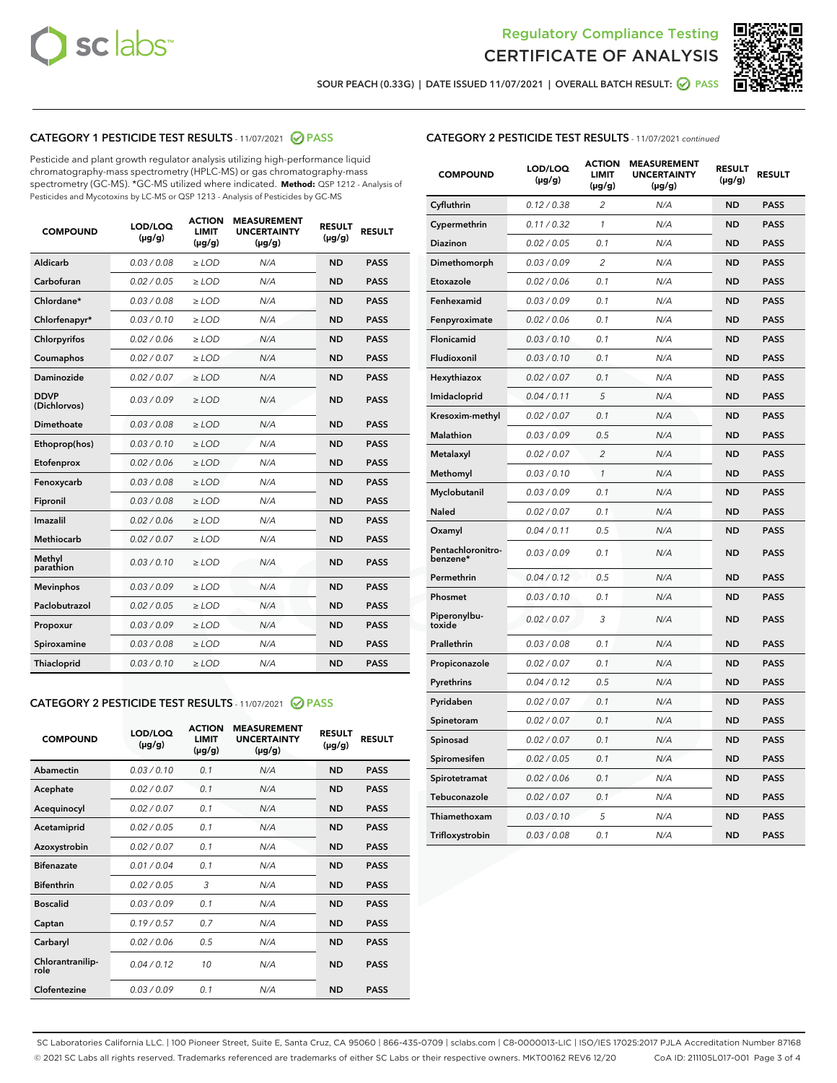



SOUR PEACH (0.33G) | DATE ISSUED 11/07/2021 | OVERALL BATCH RESULT: ● PASS

# CATEGORY 1 PESTICIDE TEST RESULTS - 11/07/2021 2 PASS

Pesticide and plant growth regulator analysis utilizing high-performance liquid chromatography-mass spectrometry (HPLC-MS) or gas chromatography-mass spectrometry (GC-MS). \*GC-MS utilized where indicated. **Method:** QSP 1212 - Analysis of Pesticides and Mycotoxins by LC-MS or QSP 1213 - Analysis of Pesticides by GC-MS

| 0.03 / 0.08<br><b>ND</b><br><b>PASS</b><br>Aldicarb<br>$\ge$ LOD<br>N/A<br>Carbofuran<br>0.02 / 0.05<br>$\ge$ LOD<br>N/A<br><b>ND</b><br><b>PASS</b><br>Chlordane*<br>0.03 / 0.08<br>$\ge$ LOD<br>N/A<br><b>ND</b><br><b>PASS</b><br>Chlorfenapyr*<br>0.03/0.10<br>$\ge$ LOD<br>N/A<br><b>ND</b><br><b>PASS</b><br>Chlorpyrifos<br>0.02 / 0.06<br>N/A<br><b>ND</b><br><b>PASS</b><br>$\ge$ LOD<br>Coumaphos<br>0.02 / 0.07<br>N/A<br><b>ND</b><br><b>PASS</b><br>$\ge$ LOD<br>Daminozide<br>0.02 / 0.07<br>N/A<br><b>ND</b><br><b>PASS</b><br>$\ge$ LOD<br><b>DDVP</b><br>0.03/0.09<br>$>$ LOD<br>N/A<br><b>ND</b><br><b>PASS</b><br>(Dichlorvos)<br>Dimethoate<br>0.03 / 0.08<br>$\ge$ LOD<br><b>ND</b><br><b>PASS</b><br>N/A<br>0.03/0.10<br>N/A<br><b>ND</b><br><b>PASS</b><br>Ethoprop(hos)<br>$>$ LOD<br>0.02 / 0.06<br>N/A<br><b>ND</b><br><b>PASS</b><br>$\ge$ LOD<br>Etofenprox<br>Fenoxycarb<br>0.03 / 0.08<br>$\ge$ LOD<br>N/A<br><b>ND</b><br><b>PASS</b><br>0.03 / 0.08<br>$\ge$ LOD<br>N/A<br><b>ND</b><br><b>PASS</b><br>Fipronil<br>Imazalil<br>0.02 / 0.06<br>$>$ LOD<br>N/A<br><b>ND</b><br><b>PASS</b><br><b>Methiocarb</b><br>0.02 / 0.07<br>$\ge$ LOD<br>N/A<br><b>ND</b><br><b>PASS</b><br>Methyl<br>0.03/0.10<br>N/A<br><b>ND</b><br><b>PASS</b><br>$\ge$ LOD<br>parathion<br>0.03/0.09<br><b>Mevinphos</b><br>$\ge$ LOD<br>N/A<br><b>ND</b><br><b>PASS</b><br>Paclobutrazol<br>0.02 / 0.05<br>$>$ LOD<br>N/A<br><b>ND</b><br><b>PASS</b><br>0.03/0.09<br>N/A<br>$\ge$ LOD<br><b>ND</b><br><b>PASS</b><br>Propoxur<br>0.03 / 0.08<br><b>ND</b><br><b>PASS</b><br>Spiroxamine<br>$\ge$ LOD<br>N/A<br>Thiacloprid<br>0.03/0.10<br>$\ge$ LOD<br>N/A<br><b>ND</b><br><b>PASS</b> | <b>COMPOUND</b> | LOD/LOQ<br>$(\mu g/g)$ | <b>ACTION</b><br><b>LIMIT</b><br>$(\mu g/g)$ | <b>MEASUREMENT</b><br><b>UNCERTAINTY</b><br>$(\mu g/g)$ | <b>RESULT</b><br>$(\mu g/g)$ | <b>RESULT</b> |
|----------------------------------------------------------------------------------------------------------------------------------------------------------------------------------------------------------------------------------------------------------------------------------------------------------------------------------------------------------------------------------------------------------------------------------------------------------------------------------------------------------------------------------------------------------------------------------------------------------------------------------------------------------------------------------------------------------------------------------------------------------------------------------------------------------------------------------------------------------------------------------------------------------------------------------------------------------------------------------------------------------------------------------------------------------------------------------------------------------------------------------------------------------------------------------------------------------------------------------------------------------------------------------------------------------------------------------------------------------------------------------------------------------------------------------------------------------------------------------------------------------------------------------------------------------------------------------------------------------------------------------------------------------------------------------------------------|-----------------|------------------------|----------------------------------------------|---------------------------------------------------------|------------------------------|---------------|
|                                                                                                                                                                                                                                                                                                                                                                                                                                                                                                                                                                                                                                                                                                                                                                                                                                                                                                                                                                                                                                                                                                                                                                                                                                                                                                                                                                                                                                                                                                                                                                                                                                                                                                    |                 |                        |                                              |                                                         |                              |               |
|                                                                                                                                                                                                                                                                                                                                                                                                                                                                                                                                                                                                                                                                                                                                                                                                                                                                                                                                                                                                                                                                                                                                                                                                                                                                                                                                                                                                                                                                                                                                                                                                                                                                                                    |                 |                        |                                              |                                                         |                              |               |
|                                                                                                                                                                                                                                                                                                                                                                                                                                                                                                                                                                                                                                                                                                                                                                                                                                                                                                                                                                                                                                                                                                                                                                                                                                                                                                                                                                                                                                                                                                                                                                                                                                                                                                    |                 |                        |                                              |                                                         |                              |               |
|                                                                                                                                                                                                                                                                                                                                                                                                                                                                                                                                                                                                                                                                                                                                                                                                                                                                                                                                                                                                                                                                                                                                                                                                                                                                                                                                                                                                                                                                                                                                                                                                                                                                                                    |                 |                        |                                              |                                                         |                              |               |
|                                                                                                                                                                                                                                                                                                                                                                                                                                                                                                                                                                                                                                                                                                                                                                                                                                                                                                                                                                                                                                                                                                                                                                                                                                                                                                                                                                                                                                                                                                                                                                                                                                                                                                    |                 |                        |                                              |                                                         |                              |               |
|                                                                                                                                                                                                                                                                                                                                                                                                                                                                                                                                                                                                                                                                                                                                                                                                                                                                                                                                                                                                                                                                                                                                                                                                                                                                                                                                                                                                                                                                                                                                                                                                                                                                                                    |                 |                        |                                              |                                                         |                              |               |
|                                                                                                                                                                                                                                                                                                                                                                                                                                                                                                                                                                                                                                                                                                                                                                                                                                                                                                                                                                                                                                                                                                                                                                                                                                                                                                                                                                                                                                                                                                                                                                                                                                                                                                    |                 |                        |                                              |                                                         |                              |               |
|                                                                                                                                                                                                                                                                                                                                                                                                                                                                                                                                                                                                                                                                                                                                                                                                                                                                                                                                                                                                                                                                                                                                                                                                                                                                                                                                                                                                                                                                                                                                                                                                                                                                                                    |                 |                        |                                              |                                                         |                              |               |
|                                                                                                                                                                                                                                                                                                                                                                                                                                                                                                                                                                                                                                                                                                                                                                                                                                                                                                                                                                                                                                                                                                                                                                                                                                                                                                                                                                                                                                                                                                                                                                                                                                                                                                    |                 |                        |                                              |                                                         |                              |               |
|                                                                                                                                                                                                                                                                                                                                                                                                                                                                                                                                                                                                                                                                                                                                                                                                                                                                                                                                                                                                                                                                                                                                                                                                                                                                                                                                                                                                                                                                                                                                                                                                                                                                                                    |                 |                        |                                              |                                                         |                              |               |
|                                                                                                                                                                                                                                                                                                                                                                                                                                                                                                                                                                                                                                                                                                                                                                                                                                                                                                                                                                                                                                                                                                                                                                                                                                                                                                                                                                                                                                                                                                                                                                                                                                                                                                    |                 |                        |                                              |                                                         |                              |               |
|                                                                                                                                                                                                                                                                                                                                                                                                                                                                                                                                                                                                                                                                                                                                                                                                                                                                                                                                                                                                                                                                                                                                                                                                                                                                                                                                                                                                                                                                                                                                                                                                                                                                                                    |                 |                        |                                              |                                                         |                              |               |
|                                                                                                                                                                                                                                                                                                                                                                                                                                                                                                                                                                                                                                                                                                                                                                                                                                                                                                                                                                                                                                                                                                                                                                                                                                                                                                                                                                                                                                                                                                                                                                                                                                                                                                    |                 |                        |                                              |                                                         |                              |               |
|                                                                                                                                                                                                                                                                                                                                                                                                                                                                                                                                                                                                                                                                                                                                                                                                                                                                                                                                                                                                                                                                                                                                                                                                                                                                                                                                                                                                                                                                                                                                                                                                                                                                                                    |                 |                        |                                              |                                                         |                              |               |
|                                                                                                                                                                                                                                                                                                                                                                                                                                                                                                                                                                                                                                                                                                                                                                                                                                                                                                                                                                                                                                                                                                                                                                                                                                                                                                                                                                                                                                                                                                                                                                                                                                                                                                    |                 |                        |                                              |                                                         |                              |               |
|                                                                                                                                                                                                                                                                                                                                                                                                                                                                                                                                                                                                                                                                                                                                                                                                                                                                                                                                                                                                                                                                                                                                                                                                                                                                                                                                                                                                                                                                                                                                                                                                                                                                                                    |                 |                        |                                              |                                                         |                              |               |
|                                                                                                                                                                                                                                                                                                                                                                                                                                                                                                                                                                                                                                                                                                                                                                                                                                                                                                                                                                                                                                                                                                                                                                                                                                                                                                                                                                                                                                                                                                                                                                                                                                                                                                    |                 |                        |                                              |                                                         |                              |               |
|                                                                                                                                                                                                                                                                                                                                                                                                                                                                                                                                                                                                                                                                                                                                                                                                                                                                                                                                                                                                                                                                                                                                                                                                                                                                                                                                                                                                                                                                                                                                                                                                                                                                                                    |                 |                        |                                              |                                                         |                              |               |
|                                                                                                                                                                                                                                                                                                                                                                                                                                                                                                                                                                                                                                                                                                                                                                                                                                                                                                                                                                                                                                                                                                                                                                                                                                                                                                                                                                                                                                                                                                                                                                                                                                                                                                    |                 |                        |                                              |                                                         |                              |               |
|                                                                                                                                                                                                                                                                                                                                                                                                                                                                                                                                                                                                                                                                                                                                                                                                                                                                                                                                                                                                                                                                                                                                                                                                                                                                                                                                                                                                                                                                                                                                                                                                                                                                                                    |                 |                        |                                              |                                                         |                              |               |
|                                                                                                                                                                                                                                                                                                                                                                                                                                                                                                                                                                                                                                                                                                                                                                                                                                                                                                                                                                                                                                                                                                                                                                                                                                                                                                                                                                                                                                                                                                                                                                                                                                                                                                    |                 |                        |                                              |                                                         |                              |               |

#### CATEGORY 2 PESTICIDE TEST RESULTS - 11/07/2021 @ PASS

| <b>COMPOUND</b>          | LOD/LOO<br>$(\mu g/g)$ | <b>ACTION</b><br><b>LIMIT</b><br>$(\mu g/g)$ | <b>MEASUREMENT</b><br><b>UNCERTAINTY</b><br>$(\mu g/g)$ | <b>RESULT</b><br>$(\mu g/g)$ | <b>RESULT</b> |
|--------------------------|------------------------|----------------------------------------------|---------------------------------------------------------|------------------------------|---------------|
| Abamectin                | 0.03/0.10              | 0.1                                          | N/A                                                     | <b>ND</b>                    | <b>PASS</b>   |
| Acephate                 | 0.02/0.07              | 0.1                                          | N/A                                                     | <b>ND</b>                    | <b>PASS</b>   |
| Acequinocyl              | 0.02/0.07              | 0.1                                          | N/A                                                     | <b>ND</b>                    | <b>PASS</b>   |
| Acetamiprid              | 0.02/0.05              | 0.1                                          | N/A                                                     | <b>ND</b>                    | <b>PASS</b>   |
| Azoxystrobin             | 0.02/0.07              | 0.1                                          | N/A                                                     | <b>ND</b>                    | <b>PASS</b>   |
| <b>Bifenazate</b>        | 0.01/0.04              | 0.1                                          | N/A                                                     | <b>ND</b>                    | <b>PASS</b>   |
| <b>Bifenthrin</b>        | 0.02 / 0.05            | 3                                            | N/A                                                     | <b>ND</b>                    | <b>PASS</b>   |
| <b>Boscalid</b>          | 0.03/0.09              | 0.1                                          | N/A                                                     | <b>ND</b>                    | <b>PASS</b>   |
| Captan                   | 0.19/0.57              | 0.7                                          | N/A                                                     | <b>ND</b>                    | <b>PASS</b>   |
| Carbaryl                 | 0.02/0.06              | 0.5                                          | N/A                                                     | <b>ND</b>                    | <b>PASS</b>   |
| Chlorantranilip-<br>role | 0.04/0.12              | 10                                           | N/A                                                     | <b>ND</b>                    | <b>PASS</b>   |
| Clofentezine             | 0.03/0.09              | 0.1                                          | N/A                                                     | <b>ND</b>                    | <b>PASS</b>   |

| <b>CATEGORY 2 PESTICIDE TEST RESULTS</b> - 11/07/2021 continued |  |
|-----------------------------------------------------------------|--|
|                                                                 |  |

| <b>COMPOUND</b>               | LOD/LOQ<br>(µg/g) | <b>ACTION</b><br>LIMIT<br>$(\mu g/g)$ | <b>MEASUREMENT</b><br><b>UNCERTAINTY</b><br>$(\mu g/g)$ | <b>RESULT</b><br>(µg/g) | <b>RESULT</b> |
|-------------------------------|-------------------|---------------------------------------|---------------------------------------------------------|-------------------------|---------------|
| Cyfluthrin                    | 0.12 / 0.38       | 2                                     | N/A                                                     | <b>ND</b>               | <b>PASS</b>   |
| Cypermethrin                  | 0.11 / 0.32       | $\mathcal{I}$                         | N/A                                                     | <b>ND</b>               | <b>PASS</b>   |
| Diazinon                      | 0.02 / 0.05       | 0.1                                   | N/A                                                     | <b>ND</b>               | <b>PASS</b>   |
| Dimethomorph                  | 0.03 / 0.09       | 2                                     | N/A                                                     | <b>ND</b>               | <b>PASS</b>   |
| Etoxazole                     | 0.02 / 0.06       | 0.1                                   | N/A                                                     | <b>ND</b>               | <b>PASS</b>   |
| Fenhexamid                    | 0.03 / 0.09       | 0.1                                   | N/A                                                     | <b>ND</b>               | <b>PASS</b>   |
| Fenpyroximate                 | 0.02 / 0.06       | 0.1                                   | N/A                                                     | <b>ND</b>               | <b>PASS</b>   |
| Flonicamid                    | 0.03 / 0.10       | 0.1                                   | N/A                                                     | <b>ND</b>               | <b>PASS</b>   |
| Fludioxonil                   | 0.03 / 0.10       | 0.1                                   | N/A                                                     | <b>ND</b>               | <b>PASS</b>   |
| Hexythiazox                   | 0.02 / 0.07       | 0.1                                   | N/A                                                     | <b>ND</b>               | <b>PASS</b>   |
| Imidacloprid                  | 0.04 / 0.11       | 5                                     | N/A                                                     | <b>ND</b>               | <b>PASS</b>   |
| Kresoxim-methyl               | 0.02 / 0.07       | 0.1                                   | N/A                                                     | <b>ND</b>               | <b>PASS</b>   |
| Malathion                     | 0.03 / 0.09       | 0.5                                   | N/A                                                     | <b>ND</b>               | <b>PASS</b>   |
| Metalaxyl                     | 0.02 / 0.07       | $\overline{c}$                        | N/A                                                     | <b>ND</b>               | <b>PASS</b>   |
| Methomyl                      | 0.03 / 0.10       | $\mathcal{I}$                         | N/A                                                     | <b>ND</b>               | <b>PASS</b>   |
| Myclobutanil                  | 0.03 / 0.09       | 0.1                                   | N/A                                                     | <b>ND</b>               | <b>PASS</b>   |
| Naled                         | 0.02 / 0.07       | 0.1                                   | N/A                                                     | <b>ND</b>               | <b>PASS</b>   |
| Oxamyl                        | 0.04 / 0.11       | 0.5                                   | N/A                                                     | <b>ND</b>               | <b>PASS</b>   |
| Pentachloronitro-<br>benzene* | 0.03/0.09         | 0.1                                   | N/A                                                     | <b>ND</b>               | <b>PASS</b>   |
| Permethrin                    | 0.04 / 0.12       | 0.5                                   | N/A                                                     | <b>ND</b>               | <b>PASS</b>   |
| Phosmet                       | 0.03 / 0.10       | 0.1                                   | N/A                                                     | <b>ND</b>               | <b>PASS</b>   |
| Piperonylbu-<br>toxide        | 0.02 / 0.07       | 3                                     | N/A                                                     | <b>ND</b>               | <b>PASS</b>   |
| Prallethrin                   | 0.03 / 0.08       | 0.1                                   | N/A                                                     | <b>ND</b>               | <b>PASS</b>   |
| Propiconazole                 | 0.02 / 0.07       | 0.1                                   | N/A                                                     | <b>ND</b>               | <b>PASS</b>   |
| Pyrethrins                    | 0.04 / 0.12       | 0.5                                   | N/A                                                     | <b>ND</b>               | <b>PASS</b>   |
| Pyridaben                     | 0.02 / 0.07       | 0.1                                   | N/A                                                     | <b>ND</b>               | <b>PASS</b>   |
| Spinetoram                    | 0.02 / 0.07       | 0.1                                   | N/A                                                     | <b>ND</b>               | <b>PASS</b>   |
| Spinosad                      | 0.02 / 0.07       | 0.1                                   | N/A                                                     | <b>ND</b>               | <b>PASS</b>   |
| Spiromesifen                  | 0.02 / 0.05       | 0.1                                   | N/A                                                     | <b>ND</b>               | <b>PASS</b>   |
| Spirotetramat                 | 0.02 / 0.06       | 0.1                                   | N/A                                                     | <b>ND</b>               | <b>PASS</b>   |
| Tebuconazole                  | 0.02 / 0.07       | 0.1                                   | N/A                                                     | <b>ND</b>               | <b>PASS</b>   |
| Thiamethoxam                  | 0.03 / 0.10       | 5                                     | N/A                                                     | <b>ND</b>               | <b>PASS</b>   |
| Trifloxystrobin               | 0.03 / 0.08       | 0.1                                   | N/A                                                     | <b>ND</b>               | <b>PASS</b>   |

SC Laboratories California LLC. | 100 Pioneer Street, Suite E, Santa Cruz, CA 95060 | 866-435-0709 | sclabs.com | C8-0000013-LIC | ISO/IES 17025:2017 PJLA Accreditation Number 87168 © 2021 SC Labs all rights reserved. Trademarks referenced are trademarks of either SC Labs or their respective owners. MKT00162 REV6 12/20 CoA ID: 211105L017-001 Page 3 of 4